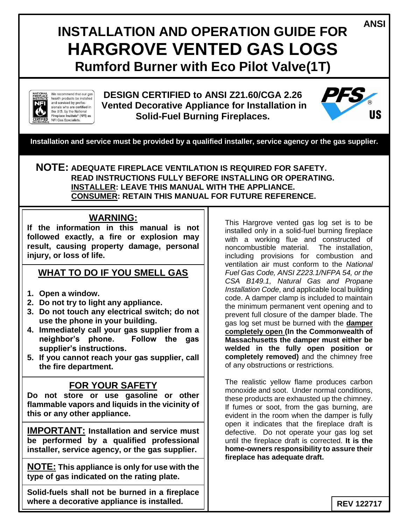# **INSTALLATION AND OPERATION GUIDE FOR HARGROVE VENTED GAS LOGS Rumford Burner with Eco Pilot Valve(1T)**



We recommend that our gas hearth products be installed and serviced by professionals who are certified in the U.S. by the National Fireplace Institute<sup>®</sup> (NFI) as NFI Gas Specialists.

**DESIGN CERTIFIED to ANSI Z21.60/CGA 2.26 Vented Decorative Appliance for Installation in Solid-Fuel Burning Fireplaces.** 



**ANSI**

**Installation and service must be provided by a qualified installer, service agency or the gas supplier.**

### **NOTE: ADEQUATE FIREPLACE VENTILATION IS REQUIRED FOR SAFETY. READ INSTRUCTIONS FULLY BEFORE INSTALLING OR OPERATING. INSTALLER: LEAVE THIS MANUAL WITH THE APPLIANCE. CONSUMER: RETAIN THIS MANUAL FOR FUTURE REFERENCE.**

### **WARNING:**

**If the information in this manual is not followed exactly, a fire or explosion may result, causing property damage, personal injury, or loss of life.**

# **WHAT TO DO IF YOU SMELL GAS**

- **1. Open a window.**
- **2. Do not try to light any appliance.**
- **3. Do not touch any electrical switch; do not use the phone in your building.**
- **4. Immediately call your gas supplier from a neighbor's phone. Follow the gas supplier's instructions.**
- **5. If you cannot reach your gas supplier, call the fire department.**

### **FOR YOUR SAFETY**

**Do not store or use gasoline or other flammable vapors and liquids in the vicinity of this or any other appliance.**

**IMPORTANT: Installation and service must be performed by a qualified professional installer, service agency, or the gas supplier.**

**NOTE: This appliance is only for use with the type of gas indicated on the rating plate.**

**Solid-fuels shall not be burned in a fireplace where a decorative appliance is installed.**

This Hargrove vented gas log set is to be installed only in a solid-fuel burning fireplace with a working flue and constructed of noncombustible material. The installation, including provisions for combustion and ventilation air must conform to the *National Fuel Gas Code, ANSI Z223.1/NFPA 54, or the CSA B149.1, Natural Gas and Propane Installation Code*, and applicable local building code. A damper clamp is included to maintain the minimum permanent vent opening and to prevent full closure of the damper blade. The gas log set must be burned with the **damper completely open (In the Commonwealth of Massachusetts the damper must either be welded in the fully open position or completely removed)** and the chimney free of any obstructions or restrictions.

The realistic yellow flame produces carbon monoxide and soot. Under normal conditions, these products are exhausted up the chimney. If fumes or soot, from the gas burning, are evident in the room when the damper is fully open it indicates that the fireplace draft is defective. Do not operate your gas log set until the fireplace draft is corrected. **It is the home-owners responsibility to assure their fireplace has adequate draft.**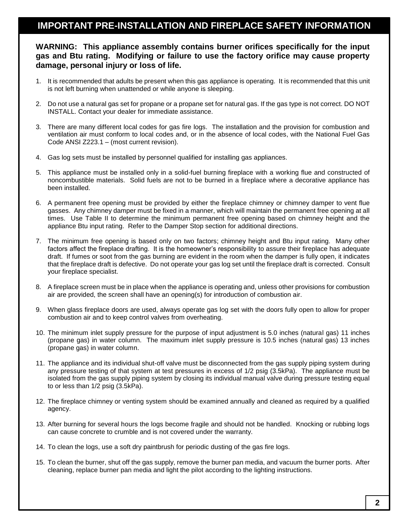### **IMPORTANT PRE-INSTALLATION AND FIREPLACE SAFETY INFORMATION**

#### **WARNING: This appliance assembly contains burner orifices specifically for the input gas and Btu rating. Modifying or failure to use the factory orifice may cause property damage, personal injury or loss of life.**

- 1. It is recommended that adults be present when this gas appliance is operating. It is recommended that this unit is not left burning when unattended or while anyone is sleeping.
- 2. Do not use a natural gas set for propane or a propane set for natural gas. If the gas type is not correct. DO NOT INSTALL. Contact your dealer for immediate assistance.
- 3. There are many different local codes for gas fire logs. The installation and the provision for combustion and ventilation air must conform to local codes and, or in the absence of local codes, with the National Fuel Gas Code ANSI Z223.1 – (most current revision).
- 4. Gas log sets must be installed by personnel qualified for installing gas appliances.
- 5. This appliance must be installed only in a solid-fuel burning fireplace with a working flue and constructed of noncombustible materials. Solid fuels are not to be burned in a fireplace where a decorative appliance has been installed.
- 6. A permanent free opening must be provided by either the fireplace chimney or chimney damper to vent flue gasses. Any chimney damper must be fixed in a manner, which will maintain the permanent free opening at all times. Use Table II to determine the minimum permanent free opening based on chimney height and the appliance Btu input rating. Refer to the Damper Stop section for additional directions.
- 7. The minimum free opening is based only on two factors; chimney height and Btu input rating. Many other factors affect the fireplace drafting. It is the homeowner's responsibility to assure their fireplace has adequate draft. If fumes or soot from the gas burning are evident in the room when the damper is fully open, it indicates that the fireplace draft is defective. Do not operate your gas log set until the fireplace draft is corrected. Consult your fireplace specialist.
- 8. A fireplace screen must be in place when the appliance is operating and, unless other provisions for combustion air are provided, the screen shall have an opening(s) for introduction of combustion air.
- 9. When glass fireplace doors are used, always operate gas log set with the doors fully open to allow for proper combustion air and to keep control valves from overheating.
- 10. The minimum inlet supply pressure for the purpose of input adjustment is 5.0 inches (natural gas) 11 inches (propane gas) in water column. The maximum inlet supply pressure is 10.5 inches (natural gas) 13 inches (propane gas) in water column.
- 11. The appliance and its individual shut-off valve must be disconnected from the gas supply piping system during any pressure testing of that system at test pressures in excess of 1/2 psig (3.5kPa). The appliance must be isolated from the gas supply piping system by closing its individual manual valve during pressure testing equal to or less than 1/2 psig (3.5kPa).
- 12. The fireplace chimney or venting system should be examined annually and cleaned as required by a qualified agency.
- 13. After burning for several hours the logs become fragile and should not be handled. Knocking or rubbing logs can cause concrete to crumble and is not covered under the warranty.
- 14. To clean the logs, use a soft dry paintbrush for periodic dusting of the gas fire logs.
- 15. To clean the burner, shut off the gas supply, remove the burner pan media, and vacuum the burner ports. After cleaning, replace burner pan media and light the pilot according to the lighting instructions.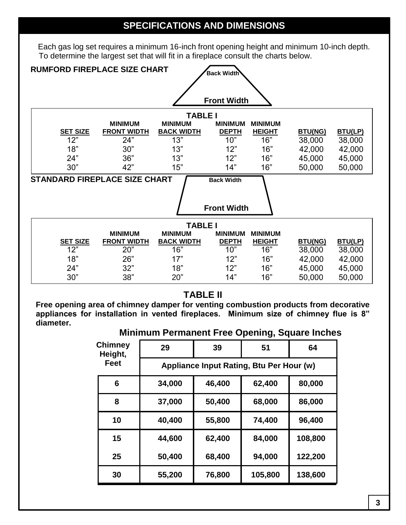# **SPECIFICATIONS AND DIMENSIONS**

Each gas log set requires a minimum 16-inch front opening height and minimum 10-inch depth. To determine the largest set that will fit in a fireplace consult the charts below.

| <b>RUMFORD FIREPLACE SIZE CHART</b><br><b>Back Width</b>  |                    |                   |                    |                |                  |                  |  |  |  |
|-----------------------------------------------------------|--------------------|-------------------|--------------------|----------------|------------------|------------------|--|--|--|
|                                                           |                    |                   |                    |                |                  |                  |  |  |  |
|                                                           |                    |                   |                    |                |                  |                  |  |  |  |
| <b>Front Width</b>                                        |                    |                   |                    |                |                  |                  |  |  |  |
| <b>TABLE I</b>                                            |                    |                   |                    |                |                  |                  |  |  |  |
|                                                           | <b>MINIMUM</b>     | <b>MINIMUM</b>    | <b>MINIMUM</b>     | <b>MINIMUM</b> |                  |                  |  |  |  |
| <b>SET SIZE</b>                                           | <b>FRONT WIDTH</b> | <b>BACK WIDTH</b> | <b>DEPTH</b>       | <b>HEIGHT</b>  | <b>BTU(NG)</b>   | BTU(LP)          |  |  |  |
| 12"                                                       | 24"                | 13"               | 10"                | 16"            | 38,000           | 38,000           |  |  |  |
| 18"                                                       | 30"                | 13"               | 12"                | 16"            | 42,000           | 42,000           |  |  |  |
| 24"                                                       | 36"                | 13"               | 12"                | 16"            | 45,000           | 45,000           |  |  |  |
| 30"                                                       | 42"                | 15"               | 14"                | 16"            | 50,000           | 50,000           |  |  |  |
| <b>STANDARD FIREPLACE SIZE CHART</b><br><b>Back Width</b> |                    |                   |                    |                |                  |                  |  |  |  |
|                                                           |                    |                   |                    |                |                  |                  |  |  |  |
|                                                           |                    |                   |                    |                |                  |                  |  |  |  |
|                                                           |                    |                   |                    |                |                  |                  |  |  |  |
|                                                           |                    |                   | <b>Front Width</b> |                |                  |                  |  |  |  |
|                                                           |                    |                   |                    |                |                  |                  |  |  |  |
|                                                           |                    | <b>TABLE I</b>    |                    |                |                  |                  |  |  |  |
|                                                           | <b>MINIMUM</b>     | <b>MINIMUM</b>    | <b>MINIMUM</b>     | <b>MINIMUM</b> |                  |                  |  |  |  |
| <b>SET SIZE</b>                                           | <b>FRONT WIDTH</b> | <b>BACK WIDTH</b> | <b>DEPTH</b>       | <b>HEIGHT</b>  | <b>BTU(NG)</b>   | <b>BTU(LP)</b>   |  |  |  |
| 12"                                                       | 20"                | 16"               | 10"                | 16"            | 38,000           | 38,000           |  |  |  |
| 18"                                                       | 26"                | 17"               | 12"                | 16"            | 42,000           | 42,000           |  |  |  |
| 24"<br>30"                                                | 32"<br>38"         | 18"<br>20"        | 12"<br>14"         | 16"<br>16"     | 45,000<br>50,000 | 45,000<br>50,000 |  |  |  |

### **TABLE II**

**Free opening area of chimney damper for venting combustion products from decorative appliances for installation in vented fireplaces. Minimum size of chimney flue is 8" diameter.**

### **Minimum Permanent Free Opening, Square Inches**

| <b>Chimney</b><br>Height, | 29                                       | 39     | 51      | 64      |  |  |
|---------------------------|------------------------------------------|--------|---------|---------|--|--|
| Feet                      | Appliance Input Rating, Btu Per Hour (w) |        |         |         |  |  |
| 6                         | 34,000                                   | 46,400 | 62,400  | 80,000  |  |  |
| 8                         | 37,000                                   | 50,400 | 68,000  | 86,000  |  |  |
| 10                        | 40,400                                   | 55,800 | 74,400  | 96,400  |  |  |
| 15                        | 44,600                                   | 62,400 | 84,000  | 108,800 |  |  |
| 25                        | 50,400                                   | 68,400 | 94,000  | 122,200 |  |  |
| 30                        | 55,200                                   | 76,800 | 105,800 | 138,600 |  |  |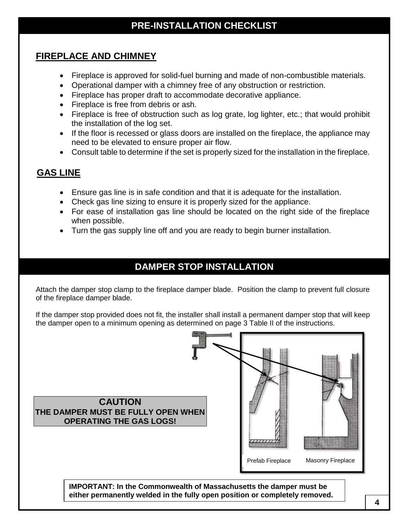# **PRE-INSTALLATION CHECKLIST**

# **FIREPLACE AND CHIMNEY**

- Fireplace is approved for solid-fuel burning and made of non-combustible materials.
- Operational damper with a chimney free of any obstruction or restriction.
- Fireplace has proper draft to accommodate decorative appliance.
- Fireplace is free from debris or ash.
- Fireplace is free of obstruction such as log grate, log lighter, etc.; that would prohibit the installation of the log set.
- If the floor is recessed or glass doors are installed on the fireplace, the appliance may need to be elevated to ensure proper air flow.
- Consult table to determine if the set is properly sized for the installation in the fireplace.

# **GAS LINE**

- Ensure gas line is in safe condition and that it is adequate for the installation.
- Check gas line sizing to ensure it is properly sized for the appliance.
- For ease of installation gas line should be located on the right side of the fireplace when possible.
- Turn the gas supply line off and you are ready to begin burner installation.

# **DAMPER STOP INSTALLATION**

Attach the damper stop clamp to the fireplace damper blade. Position the clamp to prevent full closure of the fireplace damper blade.

If the damper stop provided does not fit, the installer shall install a permanent damper stop that will keep the damper open to a minimum opening as determined on page 3 Table II of the instructions.



 **4**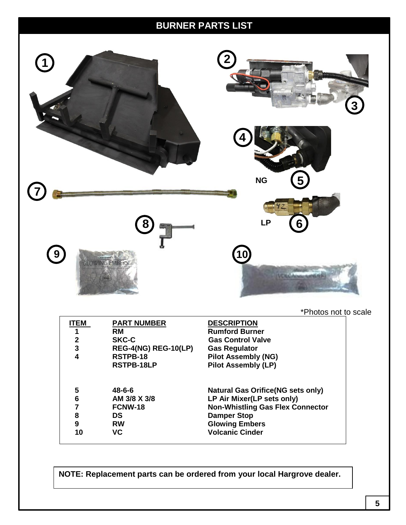# **BURNER PARTS LIST**



\*Photos not to scale

| ITEM         | <b>PART NUMBER</b>          | <b>DESCRIPTION</b>                       |
|--------------|-----------------------------|------------------------------------------|
| 1            | <b>RM</b>                   | <b>Rumford Burner</b>                    |
| $\mathbf{2}$ | <b>SKC-C</b>                | <b>Gas Control Valve</b>                 |
| 3            | <b>REG-4(NG) REG-10(LP)</b> | <b>Gas Regulator</b>                     |
| 4            | RSTPB-18                    | <b>Pilot Assembly (NG)</b>               |
|              | RSTPB-18LP                  | <b>Pilot Assembly (LP)</b>               |
| 5            | $48 - 6 - 6$                | <b>Natural Gas Orifice(NG sets only)</b> |
| 6            | AM 3/8 X 3/8                | LP Air Mixer(LP sets only)               |
|              |                             |                                          |
| 7            | FCNW-18                     | <b>Non-Whistling Gas Flex Connector</b>  |
| 8            | DS                          | <b>Damper Stop</b>                       |
| 9            | <b>RW</b>                   | <b>Glowing Embers</b>                    |
| 10           | <b>VC</b>                   | <b>Volcanic Cinder</b>                   |
|              |                             |                                          |

**NOTE: Replacement parts can be ordered from your local Hargrove dealer.**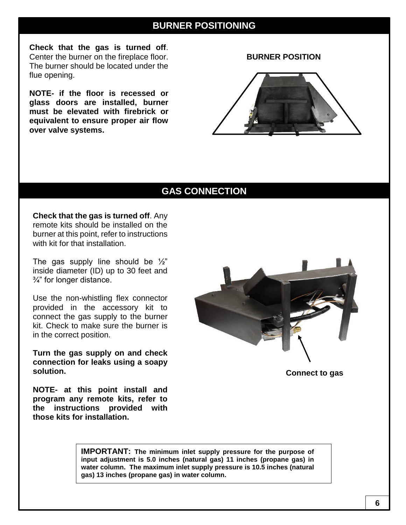### **BURNER POSITIONING**

**Check that the gas is turned off**. Center the burner on the fireplace floor. The burner should be located under the flue opening.

**NOTE- if the floor is recessed or glass doors are installed, burner must be elevated with firebrick or equivalent to ensure proper air flow over valve systems.**

**BURNER POSITION**



# **GAS CONNECTION**

**Check that the gas is turned off**. Any remote kits should be installed on the burner at this point, refer to instructions with kit for that installation.

The gas supply line should be  $\frac{1}{2}$ " inside diameter (ID) up to 30 feet and ¾" for longer distance.

Use the non-whistling flex connector provided in the accessory kit to connect the gas supply to the burner kit. Check to make sure the burner is in the correct position.

**Turn the gas supply on and check connection for leaks using a soapy solution.**

**NOTE- at this point install and program any remote kits, refer to the instructions provided with those kits for installation.**



**Connect to gas**

**IMPORTANT: The minimum inlet supply pressure for the purpose of input adjustment is 5.0 inches (natural gas) 11 inches (propane gas) in water column. The maximum inlet supply pressure is 10.5 inches (natural gas) 13 inches (propane gas) in water column.**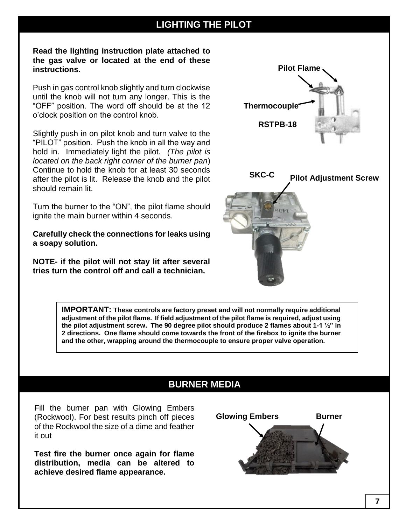# **LIGHTING THE PILOT**

**Read the lighting instruction plate attached to the gas valve or located at the end of these instructions.**

Push in gas control knob slightly and turn clockwise until the knob will not turn any longer. This is the "OFF" position. The word off should be at the 12 o'clock position on the control knob.

Slightly push in on pilot knob and turn valve to the "PILOT" position. Push the knob in all the way and hold in. Immediately light the pilot. *(The pilot is located on the back right corner of the burner pan*) Continue to hold the knob for at least 30 seconds after the pilot is lit. Release the knob and the pilot should remain lit.

Turn the burner to the "ON", the pilot flame should ignite the main burner within 4 seconds.

**Carefully check the connections for leaks using a soapy solution.**

**NOTE- if the pilot will not stay lit after several tries turn the control off and call a technician.**



**IMPORTANT: These controls are factory preset and will not normally require additional adjustment of the pilot flame. If field adjustment of the pilot flame is required, adjust using the pilot adjustment screw. The 90 degree pilot should produce 2 flames about 1-1 ½" in 2 directions. One flame should come towards the front of the firebox to ignite the burner and the other, wrapping around the thermocouple to ensure proper valve operation.**

# **BURNER MEDIA**

Fill the burner pan with Glowing Embers (Rockwool). For best results pinch off pieces of the Rockwool the size of a dime and feather it out

**Test fire the burner once again for flame distribution, media can be altered to achieve desired flame appearance.**

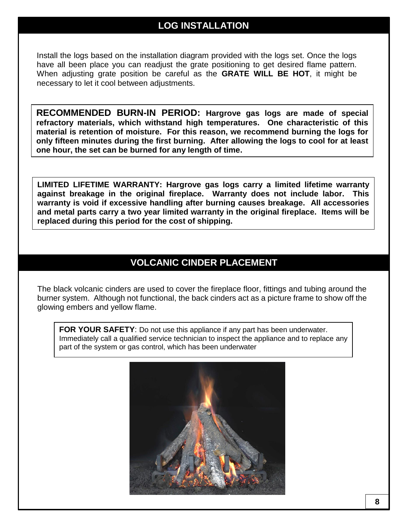### **LOG INSTALLATION**

Install the logs based on the installation diagram provided with the logs set. Once the logs have all been place you can readjust the grate positioning to get desired flame pattern. When adjusting grate position be careful as the **GRATE WILL BE HOT**, it might be necessary to let it cool between adjustments.

**RECOMMENDED BURN-IN PERIOD: Hargrove gas logs are made of special refractory materials, which withstand high temperatures. One characteristic of this material is retention of moisture. For this reason, we recommend burning the logs for only fifteen minutes during the first burning. After allowing the logs to cool for at least one hour, the set can be burned for any length of time.**

**LIMITED LIFETIME WARRANTY: Hargrove gas logs carry a limited lifetime warranty against breakage in the original fireplace. Warranty does not include labor. This warranty is void if excessive handling after burning causes breakage. All accessories and metal parts carry a two year limited warranty in the original fireplace. Items will be replaced during this period for the cost of shipping.**

# **VOLCANIC CINDER PLACEMENT**

The black volcanic cinders are used to cover the fireplace floor, fittings and tubing around the burner system. Although not functional, the back cinders act as a picture frame to show off the glowing embers and yellow flame.

**FOR YOUR SAFETY:** Do not use this appliance if any part has been underwater. Immediately call a qualified service technician to inspect the appliance and to replace any part of the system or gas control, which has been underwater

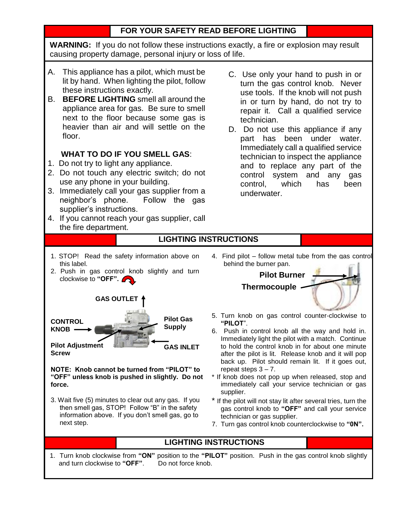### **FOR YOUR SAFETY READ BEFORE LIGHTING**

**WARNING:** If you do not follow these instructions exactly, a fire or explosion may result causing property damage, personal injury or loss of life.

- A. This appliance has a pilot, which must be lit by hand. When lighting the pilot, follow these instructions exactly.
- B. **BEFORE LIGHTING** smell all around the appliance area for gas. Be sure to smell next to the floor because some gas is heavier than air and will settle on the floor.

### **WHAT TO DO IF YOU SMELL GAS**:

- 1. Do not try to light any appliance.
- 2. Do not touch any electric switch; do not use any phone in your building.
- 3. Immediately call your gas supplier from a neighbor's phone. Follow the gas supplier's instructions.
- 4. If you cannot reach your gas supplier, call the fire department.
- C. Use only your hand to push in or turn the gas control knob. Never use tools. If the knob will not push in or turn by hand, do not try to repair it. Call a qualified service technician.
- D. Do not use this appliance if any part has been under water. Immediately call a qualified service technician to inspect the appliance and to replace any part of the control system and any gas control, which has been underwater.

### **LIGHTING INSTRUCTIONS**

- 1. STOP! Read the safety information above on this label.
- 2. Push in gas control knob slightly and turn clockwise to **"OFF".**



**NOTE: Knob cannot be turned from "PILOT" to "OFF" unless knob is pushed in slightly. Do not force.**

3. Wait five (5) minutes to clear out any gas. If you then smell gas, STOP! Follow "B" in the safety information above. If you don't smell gas, go to next step.

4. Find pilot – follow metal tube from the gas control behind the burner pan.



- 5. Turn knob on gas control counter-clockwise to **"PILOT**".
- 6. Push in control knob all the way and hold in. Immediately light the pilot with a match. Continue to hold the control knob in for about one minute after the pilot is lit. Release knob and it will pop back up. Pilot should remain lit. If it goes out, repeat steps  $3 - 7$ .
- If knob does not pop up when released, stop and immediately call your service technician or gas supplier.
- \* If the pilot will not stay lit after several tries, turn the gas control knob to **"OFF"** and call your service technician or gas supplier.
- 7. Turn gas control knob counterclockwise to **"0N".**

### **LIGHTING INSTRUCTIONS**

1. Turn knob clockwise from **"ON"** position to the **"PILOT"** position. Push in the gas control knob slightly and turn clockwise to "OFF". Do not force knob.